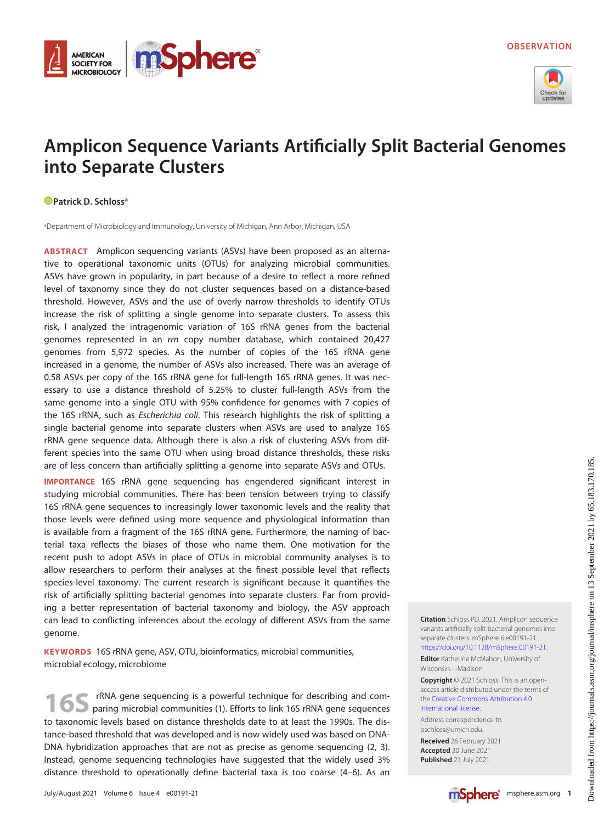

# Amplicon Sequence Variants Artificially Split Bacterial Genomes into Separate Clusters

## **Patrick D. Schloss<sup>a</sup>**

**AMERICAN SOCIETY FOR MICROBIOLOGY** 

aDepartment of Microbiology and Immunology, University of Michigan, Ann Arbor, Michigan, USA

**mSphere®** 

ABSTRACT Amplicon sequencing variants (ASVs) have been proposed as an alternative to operational taxonomic units (OTUs) for analyzing microbial communities. ASVs have grown in popularity, in part because of a desire to reflect a more refined level of taxonomy since they do not cluster sequences based on a distance-based threshold. However, ASVs and the use of overly narrow thresholds to identify OTUs increase the risk of splitting a single genome into separate clusters. To assess this risk, I analyzed the intragenomic variation of 16S rRNA genes from the bacterial genomes represented in an rrn copy number database, which contained 20,427 genomes from 5,972 species. As the number of copies of the 16S rRNA gene increased in a genome, the number of ASVs also increased. There was an average of 0.58 ASVs per copy of the 16S rRNA gene for full-length 16S rRNA genes. It was necessary to use a distance threshold of 5.25% to cluster full-length ASVs from the same genome into a single OTU with 95% confidence for genomes with 7 copies of the 16S rRNA, such as Escherichia coli. This research highlights the risk of splitting a single bacterial genome into separate clusters when ASVs are used to analyze 16S rRNA gene sequence data. Although there is also a risk of clustering ASVs from different species into the same OTU when using broad distance thresholds, these risks are of less concern than artificially splitting a genome into separate ASVs and OTUs.

IMPORTANCE 16S rRNA gene sequencing has engendered significant interest in studying microbial communities. There has been tension between trying to classify 16S rRNA gene sequences to increasingly lower taxonomic levels and the reality that those levels were defined using more sequence and physiological information than is available from a fragment of the 16S rRNA gene. Furthermore, the naming of bacterial taxa reflects the biases of those who name them. One motivation for the recent push to adopt ASVs in place of OTUs in microbial community analyses is to allow researchers to perform their analyses at the finest possible level that reflects species-level taxonomy. The current research is significant because it quantifies the risk of artificially splitting bacterial genomes into separate clusters. Far from providing a better representation of bacterial taxonomy and biology, the ASV approach can lead to conflicting inferences about the ecology of different ASVs from the same genome.

KEYWORDS 16S rRNA gene, ASV, OTU, bioinformatics, microbial communities, microbial ecology, microbiome

rRNA gene sequencing is a powerful technique for describing and comparing microbial communities [\(1\)](#page-5-0). Efforts to link 16S rRNA gene sequences to taxonomic levels based on distance thresholds date to at least the 1990s. The distance-based threshold that was developed and is now widely used was based on DNA-DNA hybridization approaches that are not as precise as genome sequencing ([2,](#page-5-1) [3\)](#page-5-2). Instead, genome sequencing technologies have suggested that the widely used 3% distance threshold to operationally define bacterial taxa is too coarse [\(4](#page-5-3)[–](#page-5-4)[6\)](#page-5-5). As an Citation Schloss PD. 2021. Amplicon sequence variants artificially split bacterial genomes into separate clusters. mSphere 6:e00191-21. [https://doi.org/10.1128/mSphere.00191-21.](https://doi.org/10.1128/mSphere.00191-21) Editor Katherine McMahon, University of

Wisconsin—Madison

Copyright © 2021 Schloss. This is an openaccess article distributed under the terms of the [Creative Commons Attribution 4.0](https://creativecommons.org/licenses/by/4.0/) [International license](https://creativecommons.org/licenses/by/4.0/).

Address correspondence to pschloss@umich.edu.

Received 26 February 2021 Accepted 30 June 2021 Published 21 July 2021

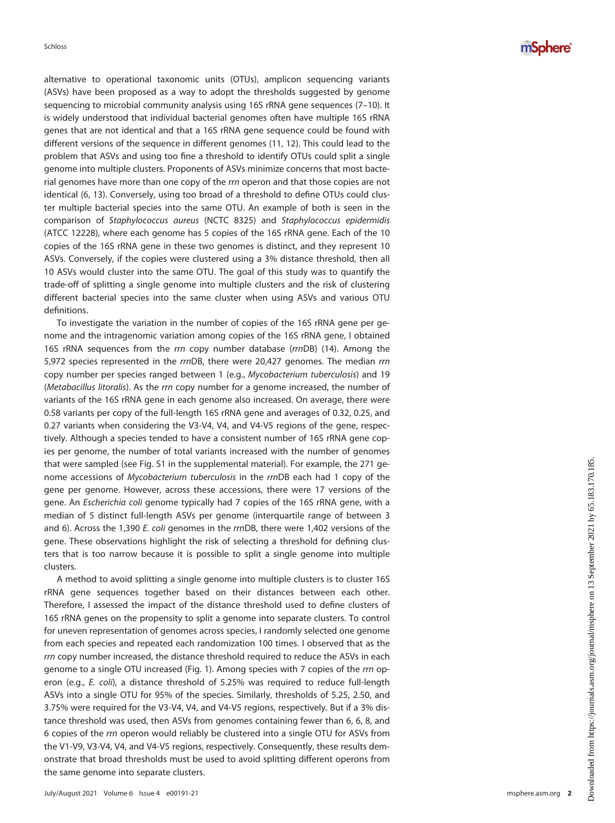alternative to operational taxonomic units (OTUs), amplicon sequencing variants (ASVs) have been proposed as a way to adopt the thresholds suggested by genome sequencing to microbial community analysis using 16S rRNA gene sequences ([7](#page-5-6)–[10\)](#page-5-7). It is widely understood that individual bacterial genomes often have multiple 16S rRNA genes that are not identical and that a 16S rRNA gene sequence could be found with different versions of the sequence in different genomes ([11,](#page-5-8) [12](#page-5-9)). This could lead to the problem that ASVs and using too fine a threshold to identify OTUs could split a single genome into multiple clusters. Proponents of ASVs minimize concerns that most bacterial genomes have more than one copy of the rrn operon and that those copies are not identical [\(6](#page-5-5), [13\)](#page-5-10). Conversely, using too broad of a threshold to define OTUs could cluster multiple bacterial species into the same OTU. An example of both is seen in the comparison of Staphylococcus aureus (NCTC 8325) and Staphylococcus epidermidis (ATCC 12228), where each genome has 5 copies of the 16S rRNA gene. Each of the 10 copies of the 16S rRNA gene in these two genomes is distinct, and they represent 10 ASVs. Conversely, if the copies were clustered using a 3% distance threshold, then all 10 ASVs would cluster into the same OTU. The goal of this study was to quantify the trade-off of splitting a single genome into multiple clusters and the risk of clustering different bacterial species into the same cluster when using ASVs and various OTU definitions.

To investigate the variation in the number of copies of the 16S rRNA gene per genome and the intragenomic variation among copies of the 16S rRNA gene, I obtained 16S rRNA sequences from the rrn copy number database (rrnDB) ([14\)](#page-5-11). Among the 5,972 species represented in the rrnDB, there were 20,427 genomes. The median rrn copy number per species ranged between 1 (e.g., Mycobacterium tuberculosis) and 19 (Metabacillus litoralis). As the rrn copy number for a genome increased, the number of variants of the 16S rRNA gene in each genome also increased. On average, there were 0.58 variants per copy of the full-length 16S rRNA gene and averages of 0.32, 0.25, and 0.27 variants when considering the V3-V4, V4, and V4-V5 regions of the gene, respectively. Although a species tended to have a consistent number of 16S rRNA gene copies per genome, the number of total variants increased with the number of genomes that were sampled (see Fig. S1 in the supplemental material). For example, the 271 genome accessions of Mycobacterium tuberculosis in the rrnDB each had 1 copy of the gene per genome. However, across these accessions, there were 17 versions of the gene. An Escherichia coli genome typically had 7 copies of the 16S rRNA gene, with a median of 5 distinct full-length ASVs per genome (interquartile range of between 3 and 6). Across the 1,390 E. coli genomes in the rrnDB, there were 1,402 versions of the gene. These observations highlight the risk of selecting a threshold for defining clusters that is too narrow because it is possible to split a single genome into multiple clusters.

A method to avoid splitting a single genome into multiple clusters is to cluster 16S rRNA gene sequences together based on their distances between each other. Therefore, I assessed the impact of the distance threshold used to define clusters of 16S rRNA genes on the propensity to split a genome into separate clusters. To control for uneven representation of genomes across species, I randomly selected one genome from each species and repeated each randomization 100 times. I observed that as the rrn copy number increased, the distance threshold required to reduce the ASVs in each genome to a single OTU increased ([Fig. 1](#page-2-0)). Among species with 7 copies of the rrn operon (e.g., E. coli), a distance threshold of 5.25% was required to reduce full-length ASVs into a single OTU for 95% of the species. Similarly, thresholds of 5.25, 2.50, and 3.75% were required for the V3-V4, V4, and V4-V5 regions, respectively. But if a 3% distance threshold was used, then ASVs from genomes containing fewer than 6, 6, 8, and 6 copies of the rrn operon would reliably be clustered into a single OTU for ASVs from the V1-V9, V3-V4, V4, and V4-V5 regions, respectively. Consequently, these results demonstrate that broad thresholds must be used to avoid splitting different operons from the same genome into separate clusters.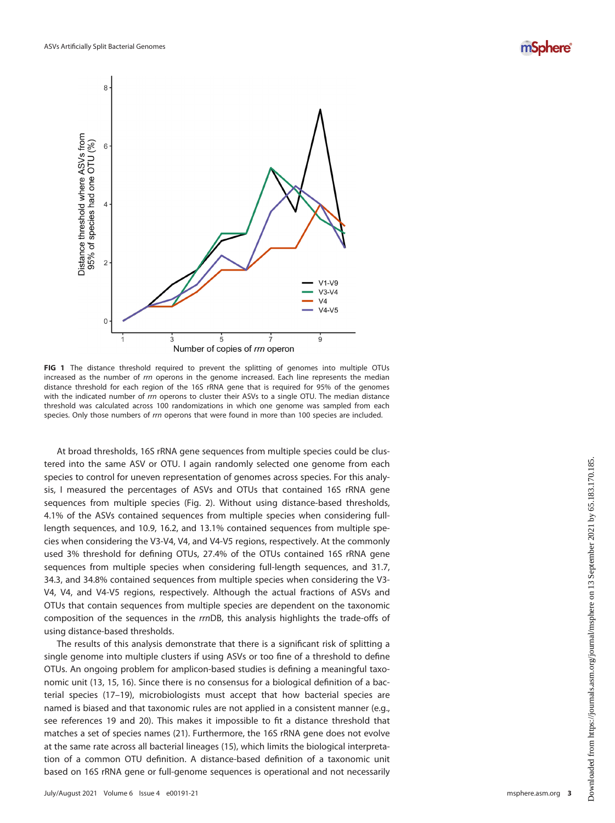



<span id="page-2-0"></span>FIG 1 The distance threshold required to prevent the splitting of genomes into multiple OTUs increased as the number of rrn operons in the genome increased. Each line represents the median distance threshold for each region of the 16S rRNA gene that is required for 95% of the genomes with the indicated number of rrn operons to cluster their ASVs to a single OTU. The median distance threshold was calculated across 100 randomizations in which one genome was sampled from each species. Only those numbers of rrn operons that were found in more than 100 species are included.

At broad thresholds, 16S rRNA gene sequences from multiple species could be clustered into the same ASV or OTU. I again randomly selected one genome from each species to control for uneven representation of genomes across species. For this analysis, I measured the percentages of ASVs and OTUs that contained 16S rRNA gene sequences from multiple species ([Fig. 2](#page-3-0)). Without using distance-based thresholds, 4.1% of the ASVs contained sequences from multiple species when considering fulllength sequences, and 10.9, 16.2, and 13.1% contained sequences from multiple species when considering the V3-V4, V4, and V4-V5 regions, respectively. At the commonly used 3% threshold for defining OTUs, 27.4% of the OTUs contained 16S rRNA gene sequences from multiple species when considering full-length sequences, and 31.7, 34.3, and 34.8% contained sequences from multiple species when considering the V3- V4, V4, and V4-V5 regions, respectively. Although the actual fractions of ASVs and OTUs that contain sequences from multiple species are dependent on the taxonomic composition of the sequences in the rrnDB, this analysis highlights the trade-offs of using distance-based thresholds.

The results of this analysis demonstrate that there is a significant risk of splitting a single genome into multiple clusters if using ASVs or too fine of a threshold to define OTUs. An ongoing problem for amplicon-based studies is defining a meaningful taxonomic unit [\(13,](#page-5-10) [15](#page-5-12), [16\)](#page-5-13). Since there is no consensus for a biological definition of a bacterial species [\(17](#page-5-14)[–](#page-5-15)[19](#page-5-16)), microbiologists must accept that how bacterial species are named is biased and that taxonomic rules are not applied in a consistent manner (e.g., see references [19](#page-5-16) and [20](#page-5-17)). This makes it impossible to fit a distance threshold that matches a set of species names [\(21](#page-5-18)). Furthermore, the 16S rRNA gene does not evolve at the same rate across all bacterial lineages [\(15](#page-5-12)), which limits the biological interpretation of a common OTU definition. A distance-based definition of a taxonomic unit based on 16S rRNA gene or full-genome sequences is operational and not necessarily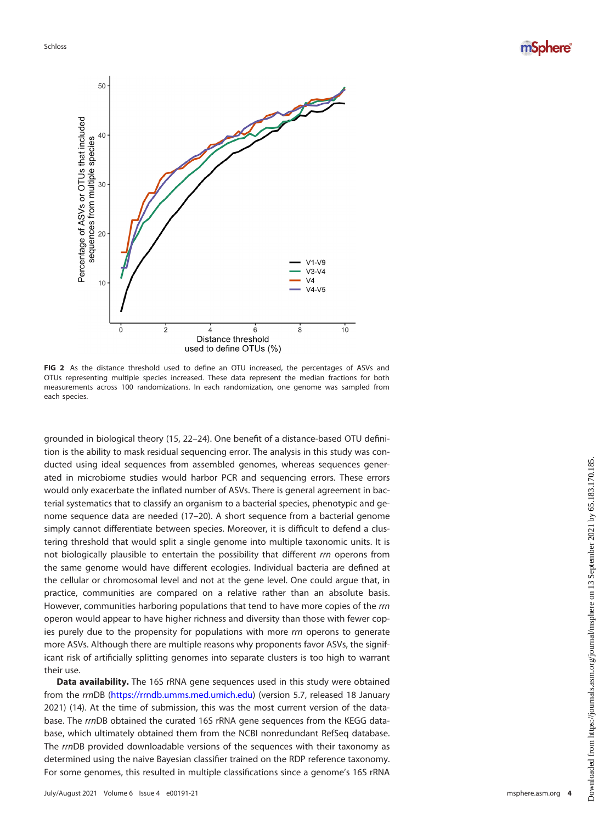Schloss





<span id="page-3-0"></span>FIG 2 As the distance threshold used to define an OTU increased, the percentages of ASVs and OTUs representing multiple species increased. These data represent the median fractions for both measurements across 100 randomizations. In each randomization, one genome was sampled from each species.

grounded in biological theory ([15,](#page-5-12) [22](#page-5-19)[–](#page-5-20)[24](#page-5-21)). One benefit of a distance-based OTU definition is the ability to mask residual sequencing error. The analysis in this study was conducted using ideal sequences from assembled genomes, whereas sequences generated in microbiome studies would harbor PCR and sequencing errors. These errors would only exacerbate the inflated number of ASVs. There is general agreement in bacterial systematics that to classify an organism to a bacterial species, phenotypic and genome sequence data are needed [\(17](#page-5-14)–[20\)](#page-5-17). A short sequence from a bacterial genome simply cannot differentiate between species. Moreover, it is difficult to defend a clustering threshold that would split a single genome into multiple taxonomic units. It is not biologically plausible to entertain the possibility that different rrn operons from the same genome would have different ecologies. Individual bacteria are defined at the cellular or chromosomal level and not at the gene level. One could argue that, in practice, communities are compared on a relative rather than an absolute basis. However, communities harboring populations that tend to have more copies of the rrn operon would appear to have higher richness and diversity than those with fewer copies purely due to the propensity for populations with more rrn operons to generate more ASVs. Although there are multiple reasons why proponents favor ASVs, the significant risk of artificially splitting genomes into separate clusters is too high to warrant their use.

**Data availability.** The 16S rRNA gene sequences used in this study were obtained from the rrnDB (<https://rrndb.umms.med.umich.edu>) (version 5.7, released 18 January 2021) ([14](#page-5-11)). At the time of submission, this was the most current version of the database. The rrnDB obtained the curated 16S rRNA gene sequences from the KEGG database, which ultimately obtained them from the NCBI nonredundant RefSeq database. The rrnDB provided downloadable versions of the sequences with their taxonomy as determined using the naive Bayesian classifier trained on the RDP reference taxonomy. For some genomes, this resulted in multiple classifications since a genome's 16S rRNA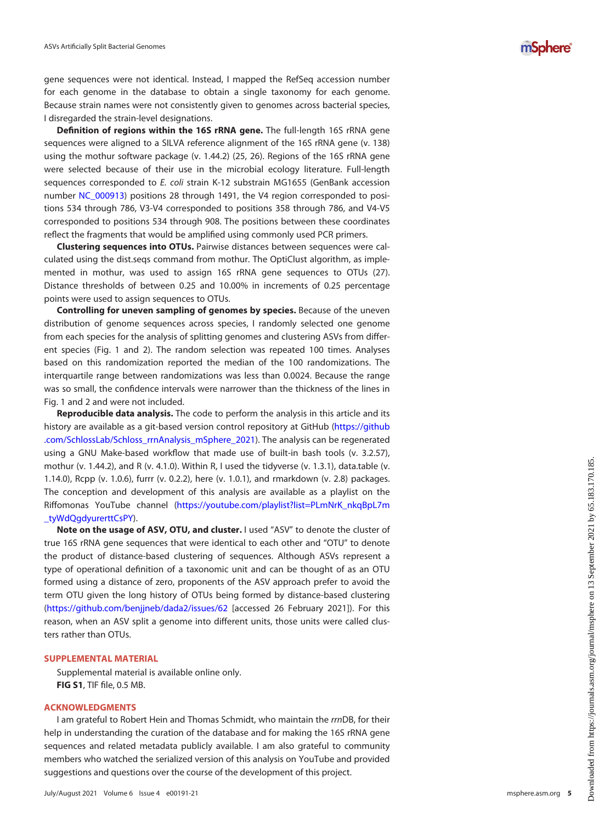gene sequences were not identical. Instead, I mapped the RefSeq accession number for each genome in the database to obtain a single taxonomy for each genome. Because strain names were not consistently given to genomes across bacterial species, I disregarded the strain-level designations.

Definition of regions within the 16S rRNA gene. The full-length 16S rRNA gene sequences were aligned to a SILVA reference alignment of the 16S rRNA gene (v. 138) using the mothur software package (v. 1.44.2) ([25](#page-5-22), [26](#page-5-23)). Regions of the 16S rRNA gene were selected because of their use in the microbial ecology literature. Full-length sequences corresponded to E. coli strain K-12 substrain MG1655 (GenBank accession number [NC\\_000913](https://www.ncbi.nlm.nih.gov/nuccore/NC_000913)) positions 28 through 1491, the V4 region corresponded to positions 534 through 786, V3-V4 corresponded to positions 358 through 786, and V4-V5 corresponded to positions 534 through 908. The positions between these coordinates reflect the fragments that would be amplified using commonly used PCR primers.

Clustering sequences into OTUs. Pairwise distances between sequences were calculated using the dist.seqs command from mothur. The OptiClust algorithm, as implemented in mothur, was used to assign 16S rRNA gene sequences to OTUs [\(27\)](#page-5-24). Distance thresholds of between 0.25 and 10.00% in increments of 0.25 percentage points were used to assign sequences to OTUs.

Controlling for uneven sampling of genomes by species. Because of the uneven distribution of genome sequences across species, I randomly selected one genome from each species for the analysis of splitting genomes and clustering ASVs from different species [\(Fig. 1](#page-2-0) and [2\)](#page-3-0). The random selection was repeated 100 times. Analyses based on this randomization reported the median of the 100 randomizations. The interquartile range between randomizations was less than 0.0024. Because the range was so small, the confidence intervals were narrower than the thickness of the lines in [Fig. 1](#page-2-0) and [2](#page-3-0) and were not included.

Reproducible data analysis. The code to perform the analysis in this article and its history are available as a git-based version control repository at GitHub [\(https://github](https://github.com/SchlossLab/Schloss_rrnAnalysis_mSphere_2021) [.com/SchlossLab/Schloss\\_rrnAnalysis\\_mSphere\\_2021\)](https://github.com/SchlossLab/Schloss_rrnAnalysis_mSphere_2021). The analysis can be regenerated using a GNU Make-based workflow that made use of built-in bash tools (v. 3.2.57), mothur (v. 1.44.2), and R (v. 4.1.0). Within R, I used the tidyverse (v. 1.3.1), data.table (v. 1.14.0), Rcpp (v. 1.0.6), furrr (v. 0.2.2), here (v. 1.0.1), and rmarkdown (v. 2.8) packages. The conception and development of this analysis are available as a playlist on the Riffomonas YouTube channel [\(https://youtube.com/playlist?list=PLmNrK\\_nkqBpL7m](https://youtube.com/playlist?list=PLmNrK_nkqBpL7m_tyWdQgdyurerttCsPY) [\\_tyWdQgdyurerttCsPY\)](https://youtube.com/playlist?list=PLmNrK_nkqBpL7m_tyWdQgdyurerttCsPY).

Note on the usage of ASV, OTU, and cluster. I used "ASV" to denote the cluster of true 16S rRNA gene sequences that were identical to each other and "OTU" to denote the product of distance-based clustering of sequences. Although ASVs represent a type of operational definition of a taxonomic unit and can be thought of as an OTU formed using a distance of zero, proponents of the ASV approach prefer to avoid the term OTU given the long history of OTUs being formed by distance-based clustering (<https://github.com/benjjneb/dada2/issues/62> [accessed 26 February 2021]). For this reason, when an ASV split a genome into different units, those units were called clusters rather than OTUs.

#### SUPPLEMENTAL MATERIAL

Supplemental material is available online only. FIG S1, TIF file, 0.5 MB.

### ACKNOWLEDGMENTS

I am grateful to Robert Hein and Thomas Schmidt, who maintain the rrnDB, for their help in understanding the curation of the database and for making the 16S rRNA gene sequences and related metadata publicly available. I am also grateful to community members who watched the serialized version of this analysis on YouTube and provided suggestions and questions over the course of the development of this project.